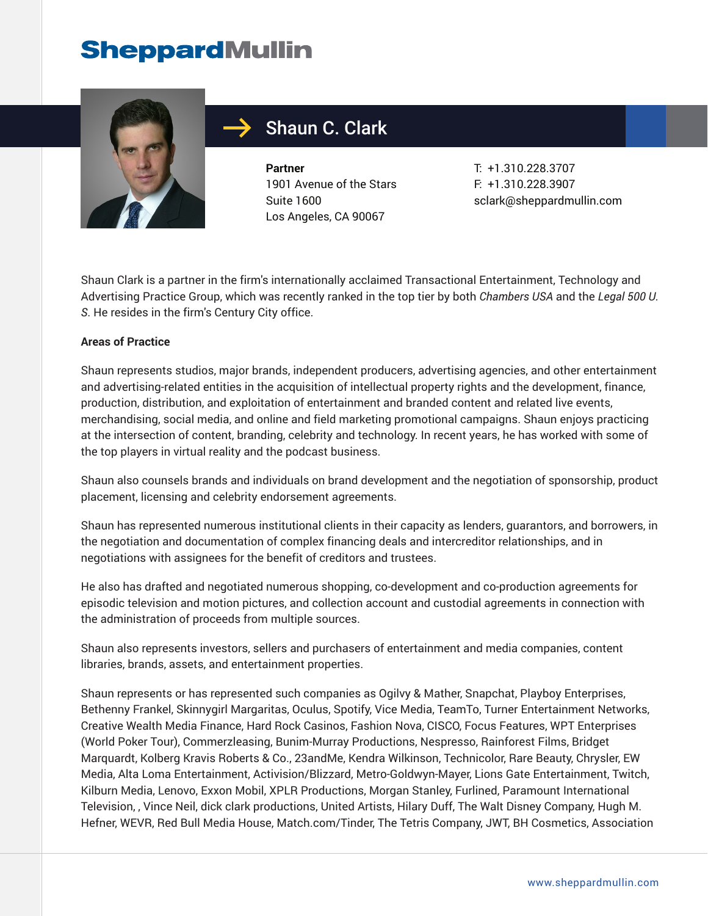

## Shaun C. Clark

**Partner** 1901 Avenue of the Stars Suite 1600 Los Angeles, CA 90067

T: +1.310.228.3707 F: +1.310.228.3907 sclark@sheppardmullin.com

Shaun Clark is a partner in the firm's internationally acclaimed Transactional Entertainment, Technology and Advertising Practice Group, which was recently ranked in the top tier by both *Chambers USA* and the *Legal 500 U. S*. He resides in the firm's Century City office.

#### **Areas of Practice**

Shaun represents studios, major brands, independent producers, advertising agencies, and other entertainment and advertising-related entities in the acquisition of intellectual property rights and the development, finance, production, distribution, and exploitation of entertainment and branded content and related live events, merchandising, social media, and online and field marketing promotional campaigns. Shaun enjoys practicing at the intersection of content, branding, celebrity and technology. In recent years, he has worked with some of the top players in virtual reality and the podcast business.

Shaun also counsels brands and individuals on brand development and the negotiation of sponsorship, product placement, licensing and celebrity endorsement agreements.

Shaun has represented numerous institutional clients in their capacity as lenders, guarantors, and borrowers, in the negotiation and documentation of complex financing deals and intercreditor relationships, and in negotiations with assignees for the benefit of creditors and trustees.

He also has drafted and negotiated numerous shopping, co-development and co-production agreements for episodic television and motion pictures, and collection account and custodial agreements in connection with the administration of proceeds from multiple sources.

Shaun also represents investors, sellers and purchasers of entertainment and media companies, content libraries, brands, assets, and entertainment properties.

Shaun represents or has represented such companies as Ogilvy & Mather, Snapchat, Playboy Enterprises, Bethenny Frankel, Skinnygirl Margaritas, Oculus, Spotify, Vice Media, TeamTo, Turner Entertainment Networks, Creative Wealth Media Finance, Hard Rock Casinos, Fashion Nova, CISCO, Focus Features, WPT Enterprises (World Poker Tour), Commerzleasing, Bunim-Murray Productions, Nespresso, Rainforest Films, Bridget Marquardt, Kolberg Kravis Roberts & Co., 23andMe, Kendra Wilkinson, Technicolor, Rare Beauty, Chrysler, EW Media, Alta Loma Entertainment, Activision/Blizzard, Metro-Goldwyn-Mayer, Lions Gate Entertainment, Twitch, Kilburn Media, Lenovo, Exxon Mobil, XPLR Productions, Morgan Stanley, Furlined, Paramount International Television, , Vince Neil, dick clark productions, United Artists, Hilary Duff, The Walt Disney Company, Hugh M. Hefner, WEVR, Red Bull Media House, Match.com/Tinder, The Tetris Company, JWT, BH Cosmetics, Association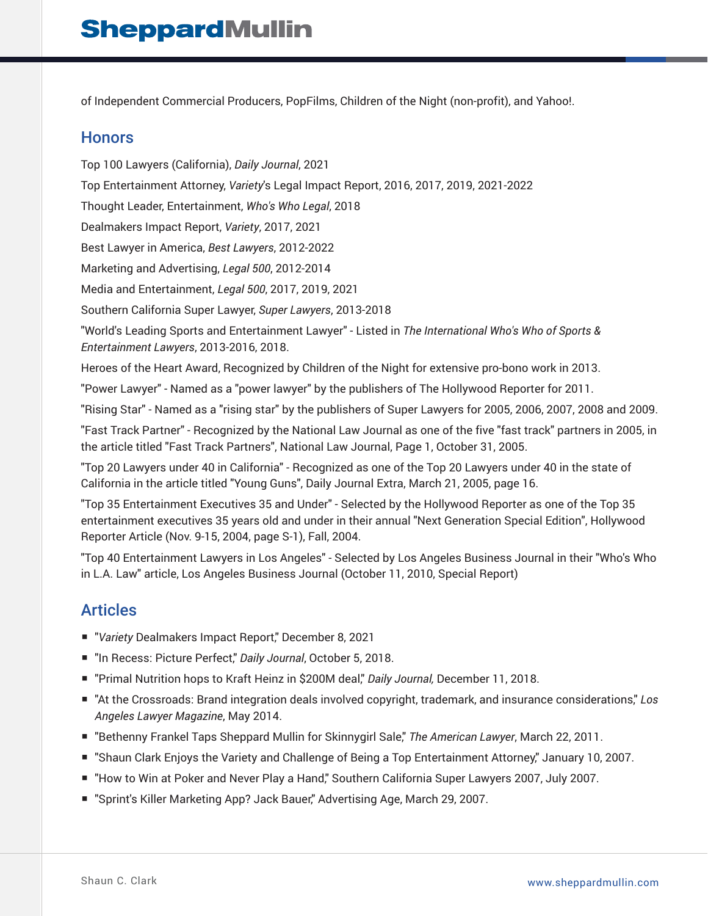of Independent Commercial Producers, PopFilms, Children of the Night (non-profit), and Yahoo!.

#### **Honors**

Top 100 Lawyers (California), *Daily Journal*, 2021 Top Entertainment Attorney, *Variety*'s Legal Impact Report, 2016, 2017, 2019, 2021-2022 Thought Leader, Entertainment, *Who's Who Legal*, 2018 Dealmakers Impact Report, *Variety*, 2017, 2021 Best Lawyer in America, *Best Lawyers*, 2012-2022 Marketing and Advertising, *Legal 500*, 2012-2014 Media and Entertainment, *Legal 500*, 2017, 2019, 2021 Southern California Super Lawyer, *Super Lawyers*, 2013-2018 "World's Leading Sports and Entertainment Lawyer" - Listed in *The International Who's Who of Sports & Entertainment Lawyers*, 2013-2016, 2018. Heroes of the Heart Award, Recognized by Children of the Night for extensive pro-bono work in 2013. "Power Lawyer" - Named as a "power lawyer" by the publishers of The Hollywood Reporter for 2011. "Rising Star" - Named as a "rising star" by the publishers of Super Lawyers for 2005, 2006, 2007, 2008 and 2009. "Fast Track Partner" - Recognized by the National Law Journal as one of the five "fast track" partners in 2005, in the article titled "Fast Track Partners", National Law Journal, Page 1, October 31, 2005.

"Top 20 Lawyers under 40 in California" - Recognized as one of the Top 20 Lawyers under 40 in the state of California in the article titled "Young Guns", Daily Journal Extra, March 21, 2005, page 16.

"Top 35 Entertainment Executives 35 and Under" - Selected by the Hollywood Reporter as one of the Top 35 entertainment executives 35 years old and under in their annual "Next Generation Special Edition", Hollywood Reporter Article (Nov. 9-15, 2004, page S-1), Fall, 2004.

"Top 40 Entertainment Lawyers in Los Angeles" - Selected by Los Angeles Business Journal in their "Who's Who in L.A. Law" article, Los Angeles Business Journal (October 11, 2010, Special Report)

### Articles

- "Variety Dealmakers Impact Report," December 8, 2021
- "In Recess: Picture Perfect," Daily Journal, October 5, 2018.
- "Primal Nutrition hops to Kraft Heinz in \$200M deal," *Daily Journal*, December 11, 2018.
- "At the Crossroads: Brand integration deals involved copyright, trademark, and insurance considerations," Los *Angeles Lawyer Magazine*, May 2014.
- "Bethenny Frankel Taps Sheppard Mullin for Skinnygirl Sale," *The American Lawyer*, March 22, 2011.
- "Shaun Clark Enjoys the Variety and Challenge of Being a Top Entertainment Attorney," January 10, 2007.
- "How to Win at Poker and Never Play a Hand," Southern California Super Lawyers 2007, July 2007.
- "Sprint's Killer Marketing App? Jack Bauer," Advertising Age, March 29, 2007.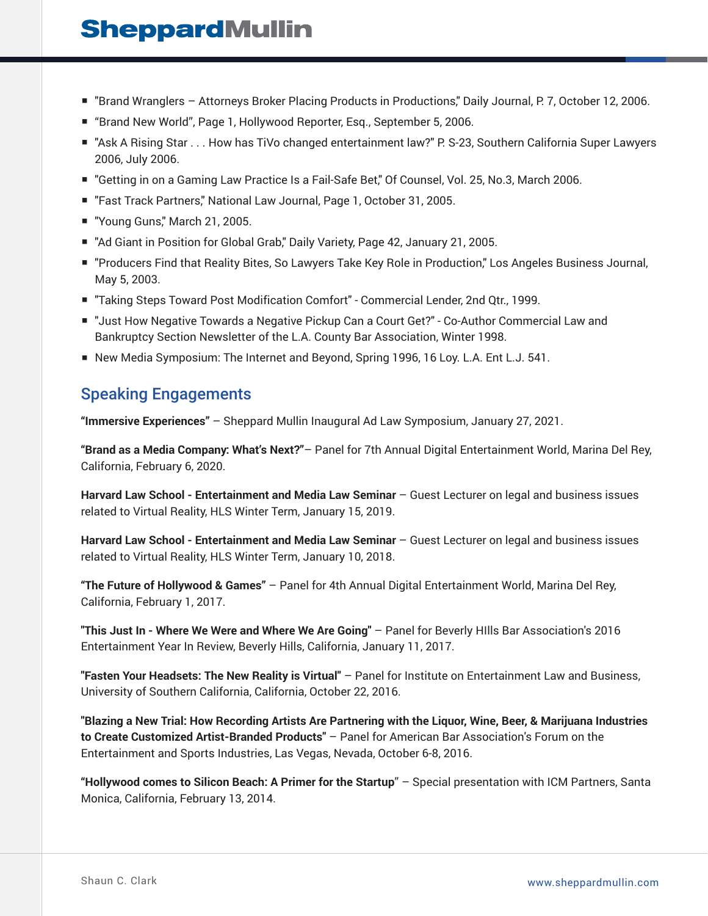- "Brand Wranglers Attorneys Broker Placing Products in Productions," Daily Journal, P. 7, October 12, 2006.
- "Brand New World", Page 1, Hollywood Reporter, Esg., September 5, 2006.
- "Ask A Rising Star . . . How has TiVo changed entertainment law?" P. S-23, Southern California Super Lawyers 2006, July 2006.
- "Getting in on a Gaming Law Practice Is a Fail-Safe Bet," Of Counsel, Vol. 25, No.3, March 2006.
- "Fast Track Partners," National Law Journal, Page 1, October 31, 2005.
- "Young Guns," March 21, 2005.
- "Ad Giant in Position for Global Grab," Daily Variety, Page 42, January 21, 2005.
- "Producers Find that Reality Bites, So Lawyers Take Key Role in Production," Los Angeles Business Journal, May 5, 2003.
- "Taking Steps Toward Post Modification Comfort" Commercial Lender, 2nd Qtr., 1999.
- "Just How Negative Towards a Negative Pickup Can a Court Get?" Co-Author Commercial Law and Bankruptcy Section Newsletter of the L.A. County Bar Association, Winter 1998.
- New Media Symposium: The Internet and Beyond, Spring 1996, 16 Loy. L.A. Ent L.J. 541.

### Speaking Engagements

**"Immersive Experiences"** – Sheppard Mullin Inaugural Ad Law Symposium, January 27, 2021.

**"Brand as a Media Company: What's Next?"**– Panel for 7th Annual Digital Entertainment World, Marina Del Rey, California, February 6, 2020.

**Harvard Law School - Entertainment and Media Law Seminar** – Guest Lecturer on legal and business issues related to Virtual Reality, HLS Winter Term, January 15, 2019.

**Harvard Law School - Entertainment and Media Law Seminar** – Guest Lecturer on legal and business issues related to Virtual Reality, HLS Winter Term, January 10, 2018.

**"The Future of Hollywood & Games"** – Panel for 4th Annual Digital Entertainment World, Marina Del Rey, California, February 1, 2017.

**"This Just In - Where We Were and Where We Are Going"** – Panel for Beverly HIlls Bar Association's 2016 Entertainment Year In Review, Beverly Hills, California, January 11, 2017.

**"Fasten Your Headsets: The New Reality is Virtual"** – Panel for Institute on Entertainment Law and Business, University of Southern California, California, October 22, 2016.

**"Blazing a New Trial: How Recording Artists Are Partnering with the Liquor, Wine, Beer, & Marijuana Industries to Create Customized Artist-Branded Products"** – Panel for American Bar Association's Forum on the Entertainment and Sports Industries, Las Vegas, Nevada, October 6-8, 2016.

**"Hollywood comes to Silicon Beach: A Primer for the Startup**" – Special presentation with ICM Partners, Santa Monica, California, February 13, 2014.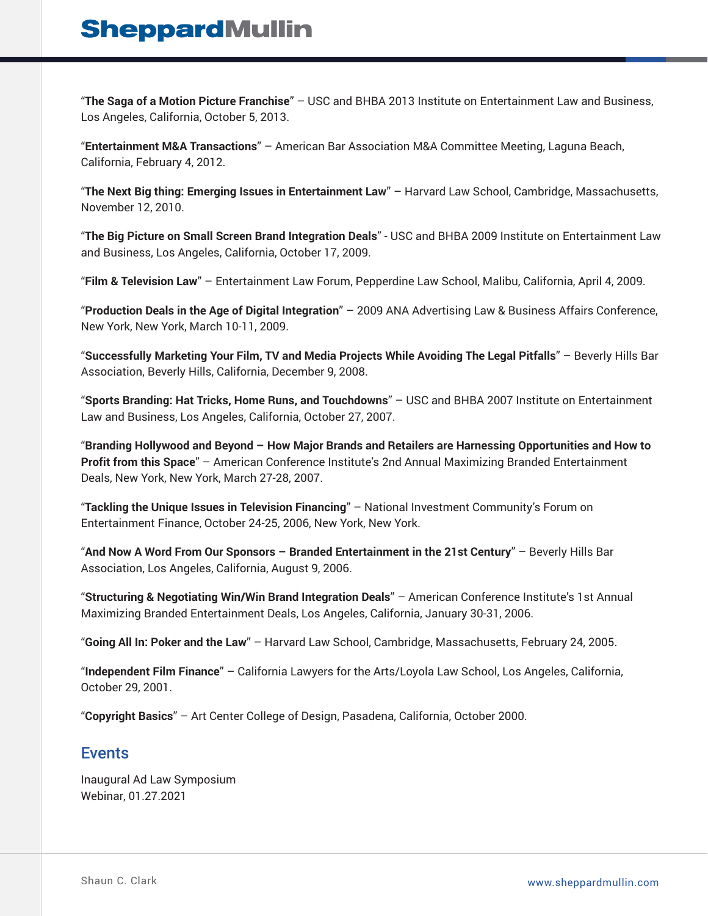"**The Saga of a Motion Picture Franchise**" – USC and BHBA 2013 Institute on Entertainment Law and Business, Los Angeles, California, October 5, 2013.

"**Entertainment M&A Transactions**" – American Bar Association M&A Committee Meeting, Laguna Beach, California, February 4, 2012.

"**The Next Big thing: Emerging Issues in Entertainment Law**" – Harvard Law School, Cambridge, Massachusetts, November 12, 2010.

"**The Big Picture on Small Screen Brand Integration Deals**" - USC and BHBA 2009 Institute on Entertainment Law and Business, Los Angeles, California, October 17, 2009.

"**Film & Television Law**" – Entertainment Law Forum, Pepperdine Law School, Malibu, California, April 4, 2009.

"**Production Deals in the Age of Digital Integration**" – 2009 ANA Advertising Law & Business Affairs Conference, New York, New York, March 10-11, 2009.

"**Successfully Marketing Your Film, TV and Media Projects While Avoiding The Legal Pitfalls**" – Beverly Hills Bar Association, Beverly Hills, California, December 9, 2008.

"**Sports Branding: Hat Tricks, Home Runs, and Touchdowns**" – USC and BHBA 2007 Institute on Entertainment Law and Business, Los Angeles, California, October 27, 2007.

"**Branding Hollywood and Beyond – How Major Brands and Retailers are Harnessing Opportunities and How to Profit from this Space**" – American Conference Institute's 2nd Annual Maximizing Branded Entertainment Deals, New York, New York, March 27-28, 2007.

"**Tackling the Unique Issues in Television Financing**" – National Investment Community's Forum on Entertainment Finance, October 24-25, 2006, New York, New York.

"**And Now A Word From Our Sponsors – Branded Entertainment in the 21st Century**" – Beverly Hills Bar Association, Los Angeles, California, August 9, 2006.

"**Structuring & Negotiating Win/Win Brand Integration Deals**" – American Conference Institute's 1st Annual Maximizing Branded Entertainment Deals, Los Angeles, California, January 30-31, 2006.

"**Going All In: Poker and the Law**" – Harvard Law School, Cambridge, Massachusetts, February 24, 2005.

"**Independent Film Finance**" – California Lawyers for the Arts/Loyola Law School, Los Angeles, California, October 29, 2001.

"**Copyright Basics**" – Art Center College of Design, Pasadena, California, October 2000.

#### Events

Inaugural Ad Law Symposium Webinar, 01.27.2021